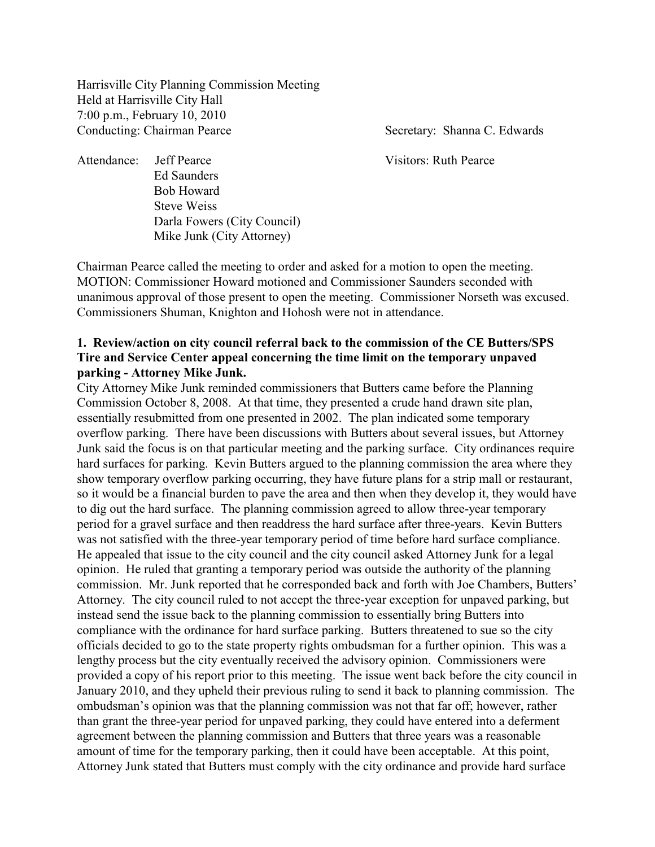Harrisville City Planning Commission Meeting Held at Harrisville City Hall 7:00 p.m., February 10, 2010 Conducting: Chairman Pearce Secretary: Shanna C. Edwards

Attendance: Jeff Pearce Visitors: Ruth Pearce Ed Saunders

Bob Howard Steve Weiss Darla Fowers (City Council) Mike Junk (City Attorney)

Chairman Pearce called the meeting to order and asked for a motion to open the meeting. MOTION: Commissioner Howard motioned and Commissioner Saunders seconded with unanimous approval of those present to open the meeting. Commissioner Norseth was excused. Commissioners Shuman, Knighton and Hohosh were not in attendance.

# **1. Review/action on city council referral back to the commission of the CE Butters/SPS Tire and Service Center appeal concerning the time limit on the temporary unpaved parking - Attorney Mike Junk.**

City Attorney Mike Junk reminded commissioners that Butters came before the Planning Commission October 8, 2008. At that time, they presented a crude hand drawn site plan, essentially resubmitted from one presented in 2002. The plan indicated some temporary overflow parking. There have been discussions with Butters about several issues, but Attorney Junk said the focus is on that particular meeting and the parking surface. City ordinances require hard surfaces for parking. Kevin Butters argued to the planning commission the area where they show temporary overflow parking occurring, they have future plans for a strip mall or restaurant, so it would be a financial burden to pave the area and then when they develop it, they would have to dig out the hard surface. The planning commission agreed to allow three-year temporary period for a gravel surface and then readdress the hard surface after three-years. Kevin Butters was not satisfied with the three-year temporary period of time before hard surface compliance. He appealed that issue to the city council and the city council asked Attorney Junk for a legal opinion. He ruled that granting a temporary period was outside the authority of the planning commission. Mr. Junk reported that he corresponded back and forth with Joe Chambers, Butters' Attorney. The city council ruled to not accept the three-year exception for unpaved parking, but instead send the issue back to the planning commission to essentially bring Butters into compliance with the ordinance for hard surface parking. Butters threatened to sue so the city officials decided to go to the state property rights ombudsman for a further opinion. This was a lengthy process but the city eventually received the advisory opinion. Commissioners were provided a copy of his report prior to this meeting. The issue went back before the city council in January 2010, and they upheld their previous ruling to send it back to planning commission. The ombudsman's opinion was that the planning commission was not that far off; however, rather than grant the three-year period for unpaved parking, they could have entered into a deferment agreement between the planning commission and Butters that three years was a reasonable amount of time for the temporary parking, then it could have been acceptable. At this point, Attorney Junk stated that Butters must comply with the city ordinance and provide hard surface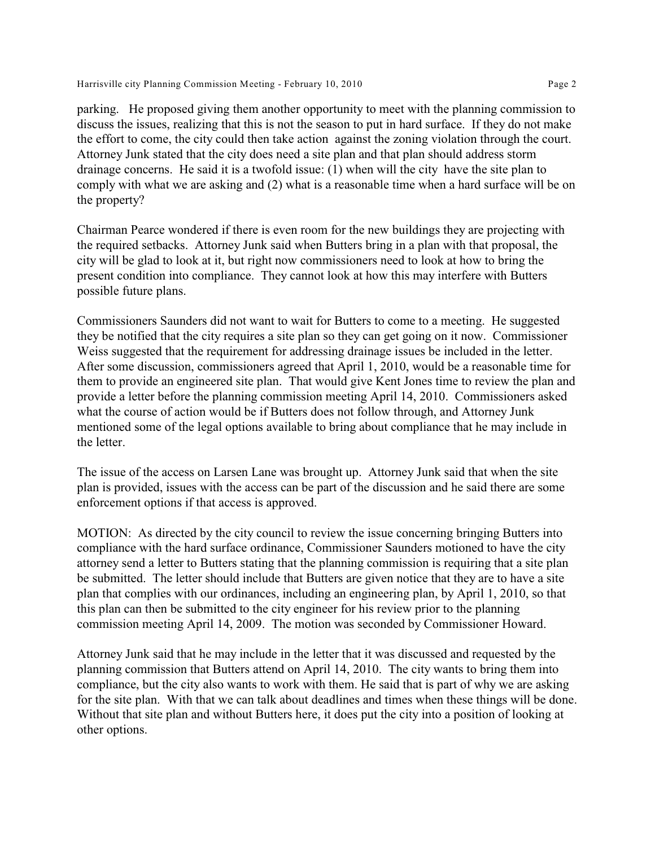Harrisville city Planning Commission Meeting - February 10, 2010 Page 2

parking. He proposed giving them another opportunity to meet with the planning commission to discuss the issues, realizing that this is not the season to put in hard surface. If they do not make the effort to come, the city could then take action against the zoning violation through the court. Attorney Junk stated that the city does need a site plan and that plan should address storm drainage concerns. He said it is a twofold issue: (1) when will the city have the site plan to comply with what we are asking and (2) what is a reasonable time when a hard surface will be on the property?

Chairman Pearce wondered if there is even room for the new buildings they are projecting with the required setbacks. Attorney Junk said when Butters bring in a plan with that proposal, the city will be glad to look at it, but right now commissioners need to look at how to bring the present condition into compliance. They cannot look at how this may interfere with Butters possible future plans.

Commissioners Saunders did not want to wait for Butters to come to a meeting. He suggested they be notified that the city requires a site plan so they can get going on it now. Commissioner Weiss suggested that the requirement for addressing drainage issues be included in the letter. After some discussion, commissioners agreed that April 1, 2010, would be a reasonable time for them to provide an engineered site plan. That would give Kent Jones time to review the plan and provide a letter before the planning commission meeting April 14, 2010. Commissioners asked what the course of action would be if Butters does not follow through, and Attorney Junk mentioned some of the legal options available to bring about compliance that he may include in the letter.

The issue of the access on Larsen Lane was brought up. Attorney Junk said that when the site plan is provided, issues with the access can be part of the discussion and he said there are some enforcement options if that access is approved.

MOTION: As directed by the city council to review the issue concerning bringing Butters into compliance with the hard surface ordinance, Commissioner Saunders motioned to have the city attorney send a letter to Butters stating that the planning commission is requiring that a site plan be submitted. The letter should include that Butters are given notice that they are to have a site plan that complies with our ordinances, including an engineering plan, by April 1, 2010, so that this plan can then be submitted to the city engineer for his review prior to the planning commission meeting April 14, 2009. The motion was seconded by Commissioner Howard.

Attorney Junk said that he may include in the letter that it was discussed and requested by the planning commission that Butters attend on April 14, 2010. The city wants to bring them into compliance, but the city also wants to work with them. He said that is part of why we are asking for the site plan. With that we can talk about deadlines and times when these things will be done. Without that site plan and without Butters here, it does put the city into a position of looking at other options.